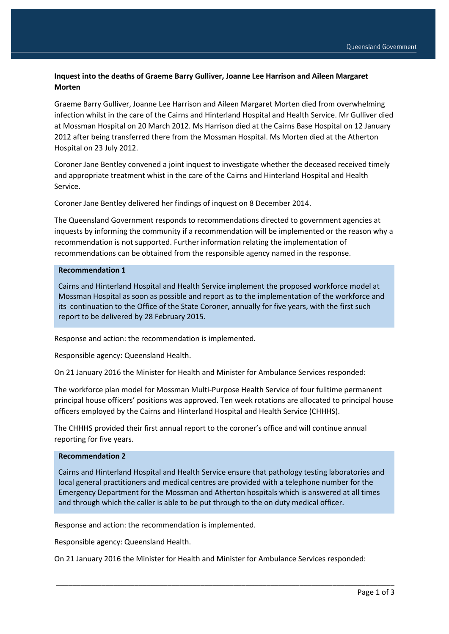# **Inquest into the deaths of Graeme Barry Gulliver, Joanne Lee Harrison and Aileen Margaret Morten**

Graeme Barry Gulliver, Joanne Lee Harrison and Aileen Margaret Morten died from overwhelming infection whilst in the care of the Cairns and Hinterland Hospital and Health Service. Mr Gulliver died at Mossman Hospital on 20 March 2012. Ms Harrison died at the Cairns Base Hospital on 12 January 2012 after being transferred there from the Mossman Hospital. Ms Morten died at the Atherton Hospital on 23 July 2012.

Coroner Jane Bentley convened a joint inquest to investigate whether the deceased received timely and appropriate treatment whist in the care of the Cairns and Hinterland Hospital and Health Service.

Coroner Jane Bentley delivered her findings of inquest on 8 December 2014.

The Queensland Government responds to recommendations directed to government agencies at inquests by informing the community if a recommendation will be implemented or the reason why a recommendation is not supported. Further information relating the implementation of recommendations can be obtained from the responsible agency named in the response.

#### **Recommendation 1**

Cairns and Hinterland Hospital and Health Service implement the proposed workforce model at Mossman Hospital as soon as possible and report as to the implementation of the workforce and its continuation to the Office of the State Coroner, annually for five years, with the first such report to be delivered by 28 February 2015.

Response and action: the recommendation is implemented.

Responsible agency: Queensland Health.

On 21 January 2016 the Minister for Health and Minister for Ambulance Services responded:

The workforce plan model for Mossman Multi-Purpose Health Service of four fulltime permanent principal house officers' positions was approved. Ten week rotations are allocated to principal house officers employed by the Cairns and Hinterland Hospital and Health Service (CHHHS).

The CHHHS provided their first annual report to the coroner's office and will continue annual reporting for five years.

#### **Recommendation 2**

Cairns and Hinterland Hospital and Health Service ensure that pathology testing laboratories and local general practitioners and medical centres are provided with a telephone number for the Emergency Department for the Mossman and Atherton hospitals which is answered at all times and through which the caller is able to be put through to the on duty medical officer.

Response and action: the recommendation is implemented.

Responsible agency: Queensland Health.

On 21 January 2016 the Minister for Health and Minister for Ambulance Services responded:

\_\_\_\_\_\_\_\_\_\_\_\_\_\_\_\_\_\_\_\_\_\_\_\_\_\_\_\_\_\_\_\_\_\_\_\_\_\_\_\_\_\_\_\_\_\_\_\_\_\_\_\_\_\_\_\_\_\_\_\_\_\_\_\_\_\_\_\_\_\_\_\_\_\_\_\_\_\_\_\_\_\_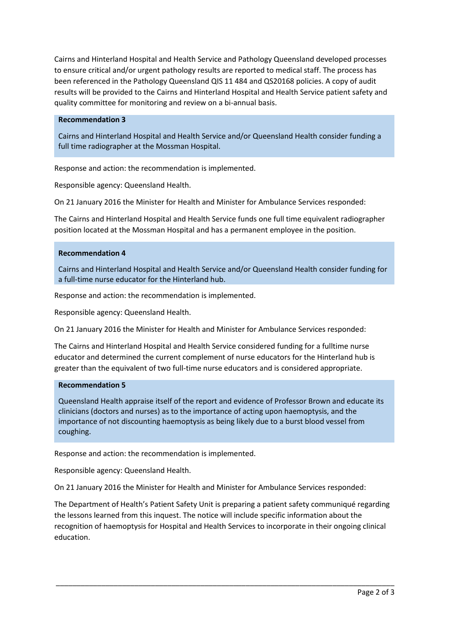Cairns and Hinterland Hospital and Health Service and Pathology Queensland developed processes to ensure critical and/or urgent pathology results are reported to medical staff. The process has been referenced in the Pathology Queensland QIS 11 484 and QS20168 policies. A copy of audit results will be provided to the Cairns and Hinterland Hospital and Health Service patient safety and quality committee for monitoring and review on a bi-annual basis.

## **Recommendation 3**

Cairns and Hinterland Hospital and Health Service and/or Queensland Health consider funding a full time radiographer at the Mossman Hospital.

Response and action: the recommendation is implemented.

Responsible agency: Queensland Health.

On 21 January 2016 the Minister for Health and Minister for Ambulance Services responded:

The Cairns and Hinterland Hospital and Health Service funds one full time equivalent radiographer position located at the Mossman Hospital and has a permanent employee in the position.

#### **Recommendation 4**

Cairns and Hinterland Hospital and Health Service and/or Queensland Health consider funding for a full-time nurse educator for the Hinterland hub.

Response and action: the recommendation is implemented.

Responsible agency: Queensland Health.

On 21 January 2016 the Minister for Health and Minister for Ambulance Services responded:

The Cairns and Hinterland Hospital and Health Service considered funding for a fulltime nurse educator and determined the current complement of nurse educators for the Hinterland hub is greater than the equivalent of two full-time nurse educators and is considered appropriate.

## **Recommendation 5**

Queensland Health appraise itself of the report and evidence of Professor Brown and educate its clinicians (doctors and nurses) as to the importance of acting upon haemoptysis, and the importance of not discounting haemoptysis as being likely due to a burst blood vessel from coughing.

Response and action: the recommendation is implemented.

Responsible agency: Queensland Health.

On 21 January 2016 the Minister for Health and Minister for Ambulance Services responded:

The Department of Health's Patient Safety Unit is preparing a patient safety communiqué regarding the lessons learned from this inquest. The notice will include specific information about the recognition of haemoptysis for Hospital and Health Services to incorporate in their ongoing clinical education.

\_\_\_\_\_\_\_\_\_\_\_\_\_\_\_\_\_\_\_\_\_\_\_\_\_\_\_\_\_\_\_\_\_\_\_\_\_\_\_\_\_\_\_\_\_\_\_\_\_\_\_\_\_\_\_\_\_\_\_\_\_\_\_\_\_\_\_\_\_\_\_\_\_\_\_\_\_\_\_\_\_\_